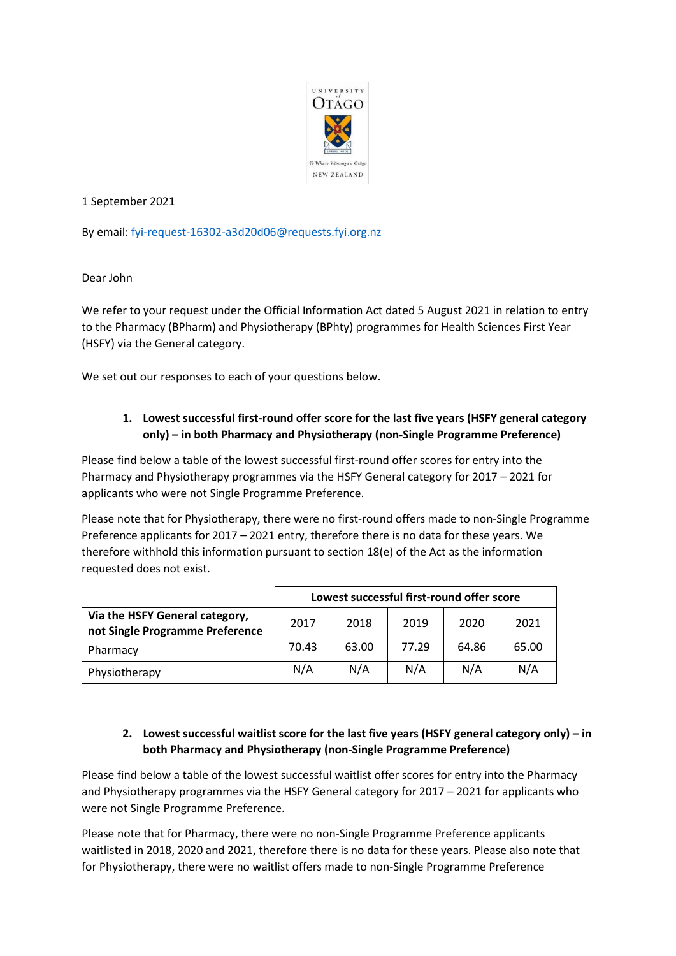

1 September 2021

By email: [fyi-request-16302-a3d20d06@requests.fyi.org.nz](mailto:xxxxxxxxxxxxxxxxxxxxxxxxxx@xxxxxxxx.xxx.xxx.xx)

Dear John

We refer to your request under the Official Information Act dated 5 August 2021 in relation to entry to the Pharmacy (BPharm) and Physiotherapy (BPhty) programmes for Health Sciences First Year (HSFY) via the General category.

We set out our responses to each of your questions below.

## **1. Lowest successful first-round offer score for the last five years (HSFY general category only) – in both Pharmacy and Physiotherapy (non-Single Programme Preference)**

Please find below a table of the lowest successful first-round offer scores for entry into the Pharmacy and Physiotherapy programmes via the HSFY General category for 2017 – 2021 for applicants who were not Single Programme Preference.

Please note that for Physiotherapy, there were no first-round offers made to non-Single Programme Preference applicants for 2017 – 2021 entry, therefore there is no data for these years. We therefore withhold this information pursuant to section 18(e) of the Act as the information requested does not exist.

|                                                                   | Lowest successful first-round offer score |       |       |       |       |
|-------------------------------------------------------------------|-------------------------------------------|-------|-------|-------|-------|
| Via the HSFY General category,<br>not Single Programme Preference | 2017                                      | 2018  | 2019  | 2020  | 2021  |
| Pharmacy                                                          | 70.43                                     | 63.00 | 77.29 | 64.86 | 65.00 |
| Physiotherapy                                                     | N/A                                       | N/A   | N/A   | N/A   | N/A   |

## **2. Lowest successful waitlist score for the last five years (HSFY general category only) – in both Pharmacy and Physiotherapy (non-Single Programme Preference)**

Please find below a table of the lowest successful waitlist offer scores for entry into the Pharmacy and Physiotherapy programmes via the HSFY General category for 2017 – 2021 for applicants who were not Single Programme Preference.

Please note that for Pharmacy, there were no non-Single Programme Preference applicants waitlisted in 2018, 2020 and 2021, therefore there is no data for these years. Please also note that for Physiotherapy, there were no waitlist offers made to non-Single Programme Preference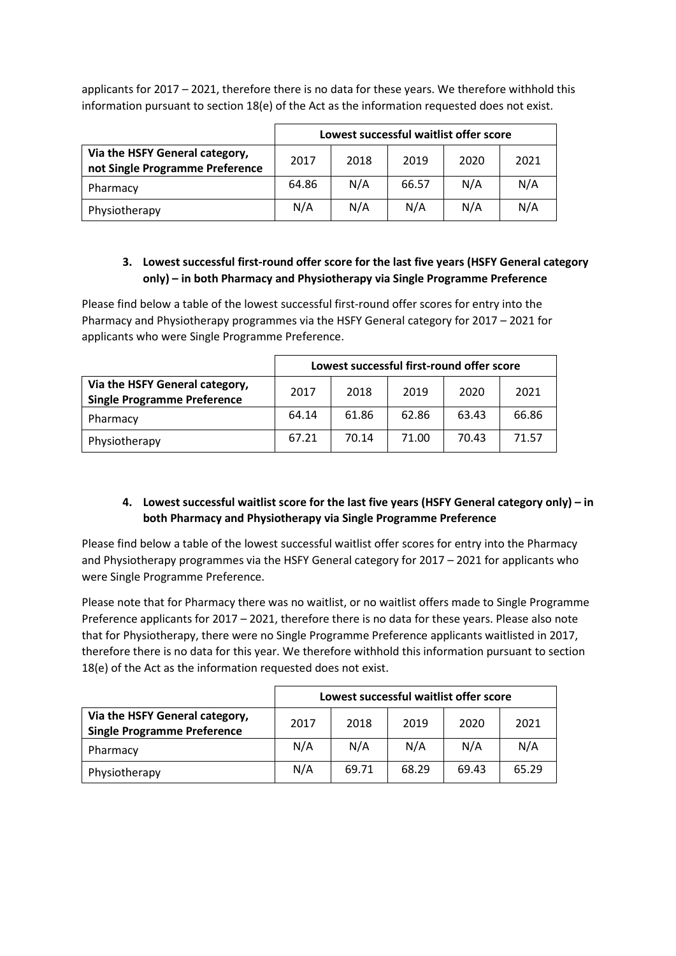applicants for 2017 – 2021, therefore there is no data for these years. We therefore withhold this information pursuant to section 18(e) of the Act as the information requested does not exist.

|                                                                   | Lowest successful waitlist offer score |      |       |      |      |
|-------------------------------------------------------------------|----------------------------------------|------|-------|------|------|
| Via the HSFY General category,<br>not Single Programme Preference | 2017                                   | 2018 | 2019  | 2020 | 2021 |
| Pharmacy                                                          | 64.86                                  | N/A  | 66.57 | N/A  | N/A  |
| Physiotherapy                                                     | N/A                                    | N/A  | N/A   | N/A  | N/A  |

## **3. Lowest successful first-round offer score for the last five years (HSFY General category only) – in both Pharmacy and Physiotherapy via Single Programme Preference**

Please find below a table of the lowest successful first-round offer scores for entry into the Pharmacy and Physiotherapy programmes via the HSFY General category for 2017 – 2021 for applicants who were Single Programme Preference.

|                                                                      | Lowest successful first-round offer score |       |       |       |       |
|----------------------------------------------------------------------|-------------------------------------------|-------|-------|-------|-------|
| Via the HSFY General category,<br><b>Single Programme Preference</b> | 2017                                      | 2018  | 2019  | 2020  | 2021  |
| Pharmacy                                                             | 64.14                                     | 61.86 | 62.86 | 63.43 | 66.86 |
| Physiotherapy                                                        | 67.21                                     | 70.14 | 71.00 | 70.43 | 71.57 |

## **4. Lowest successful waitlist score for the last five years (HSFY General category only) – in both Pharmacy and Physiotherapy via Single Programme Preference**

Please find below a table of the lowest successful waitlist offer scores for entry into the Pharmacy and Physiotherapy programmes via the HSFY General category for 2017 – 2021 for applicants who were Single Programme Preference.

Please note that for Pharmacy there was no waitlist, or no waitlist offers made to Single Programme Preference applicants for 2017 – 2021, therefore there is no data for these years. Please also note that for Physiotherapy, there were no Single Programme Preference applicants waitlisted in 2017, therefore there is no data for this year. We therefore withhold this information pursuant to section 18(e) of the Act as the information requested does not exist.

|                                                                      | Lowest successful waitlist offer score |       |       |       |       |
|----------------------------------------------------------------------|----------------------------------------|-------|-------|-------|-------|
| Via the HSFY General category,<br><b>Single Programme Preference</b> | 2017                                   | 2018  | 2019  | 2020  | 2021  |
| Pharmacy                                                             | N/A                                    | N/A   | N/A   | N/A   | N/A   |
| Physiotherapy                                                        | N/A                                    | 69.71 | 68.29 | 69.43 | 65.29 |